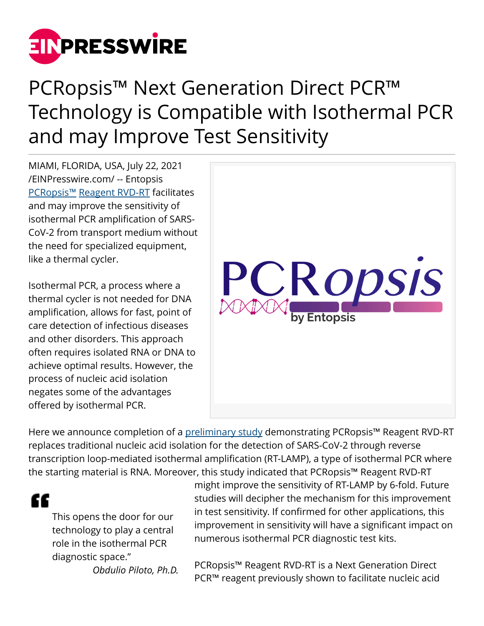

## PCRopsis™ Next Generation Direct PCR™ Technology is Compatible with Isothermal PCR and may Improve Test Sensitivity

MIAMI, FLORIDA, USA, July 22, 2021 [/EINPresswire.com/](http://www.einpresswire.com) -- Entopsis [PCRopsis™](http://www.PCRopsis.com) [Reagent RVD-RT](https://shop.pcropsis.com/reagentrvdrt.html) facilitates and may improve the sensitivity of isothermal PCR amplification of SARS-CoV-2 from transport medium without the need for specialized equipment, like a thermal cycler.

Isothermal PCR, a process where a thermal cycler is not needed for DNA amplification, allows for fast, point of care detection of infectious diseases and other disorders. This approach often requires isolated RNA or DNA to achieve optimal results. However, the process of nucleic acid isolation negates some of the advantages offered by isothermal PCR.



Here we announce completion of a [preliminary study](https://shop.pcropsis.com/uploads/1/0/1/7/101767230/20210717_rvd-rt_rt-lamp_white_paper.pdf) demonstrating PCRopsis<sup>™</sup> Reagent RVD-RT replaces traditional nucleic acid isolation for the detection of SARS-CoV-2 through reverse transcription loop-mediated isothermal amplification (RT-LAMP), a type of isothermal PCR where the starting material is RNA. Moreover, this study indicated that PCRopsis™ Reagent RVD-RT

æ

This opens the door for our technology to play a central role in the isothermal PCR diagnostic space."

*Obdulio Piloto, Ph.D.*

might improve the sensitivity of RT-LAMP by 6-fold. Future studies will decipher the mechanism for this improvement in test sensitivity. If confirmed for other applications, this improvement in sensitivity will have a significant impact on numerous isothermal PCR diagnostic test kits.

PCRopsis™ Reagent RVD-RT is a Next Generation Direct PCR™ reagent previously shown to facilitate nucleic acid